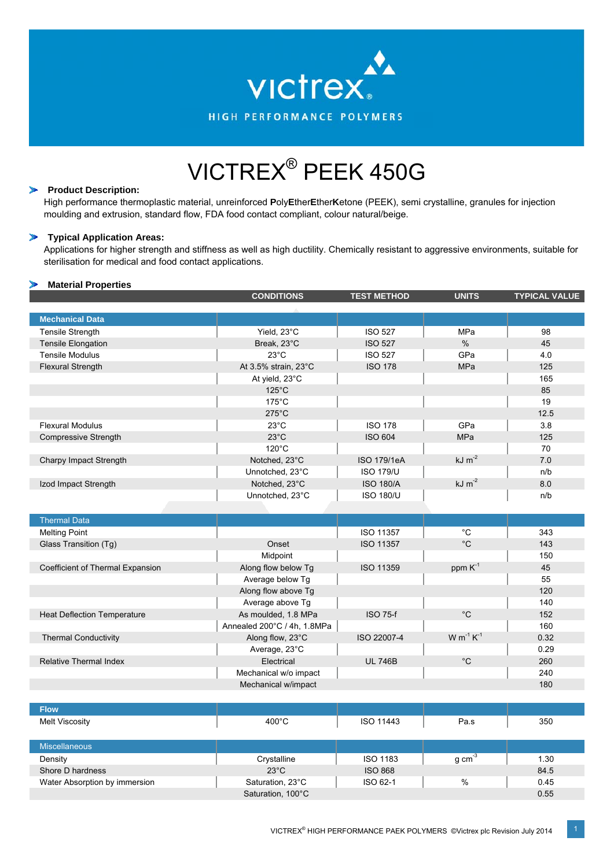

# VICTREX® PEEK 450G

#### $\sum_{i=1}^{n} a_i$ **Product Description:**

High performance thermoplastic material, unreinforced **P**oly**E**ther**E**ther**K**etone (PEEK), semi crystalline, granules for injection moulding and extrusion, standard flow, FDA food contact compliant, colour natural/beige.

#### $\rightarrow$ **Typical Application Areas:**

Applications for higher strength and stiffness as well as high ductility. Chemically resistant to aggressive environments, suitable for sterilisation for medical and food contact applications.

## **Material Properties**

|                                    | <b>CONDITIONS</b>                                              | <b>TEST METHOD</b> | <b>UNITS</b>      | <b>TYPICAL VALUE</b> |
|------------------------------------|----------------------------------------------------------------|--------------------|-------------------|----------------------|
|                                    |                                                                |                    |                   |                      |
| <b>Mechanical Data</b>             |                                                                |                    |                   |                      |
| <b>Tensile Strength</b>            | Yield, 23°C<br><b>ISO 527</b><br>MPa                           |                    | 98                |                      |
| <b>Tensile Elongation</b>          | Break, 23°C                                                    | <b>ISO 527</b>     | $\frac{0}{0}$     | 45                   |
| <b>Tensile Modulus</b>             | $23^{\circ}$ C                                                 | <b>ISO 527</b>     | GPa               | 4.0                  |
| <b>Flexural Strength</b>           | At 3.5% strain, 23°C                                           | <b>ISO 178</b>     | MPa               | 125                  |
|                                    | At yield, 23°C                                                 |                    |                   | 165                  |
|                                    | $125^{\circ}$ C                                                |                    |                   | 85                   |
|                                    | $175^{\circ}$ C                                                |                    |                   | 19                   |
|                                    | $275^{\circ}$ C                                                |                    |                   | 12.5                 |
| <b>Flexural Modulus</b>            | $23^{\circ}$ C                                                 | <b>ISO 178</b>     | GPa               | 3.8                  |
| <b>Compressive Strength</b>        | $23^{\circ}$ C                                                 | <b>ISO 604</b>     | MPa               | 125                  |
|                                    | $120^{\circ}$ C                                                |                    |                   | 70                   |
| Charpy Impact Strength             | Notched, 23°C                                                  | <b>ISO 179/1eA</b> | $kJ \, m^{-2}$    | 7.0                  |
|                                    | Unnotched, 23°C                                                | <b>ISO 179/U</b>   |                   | n/b                  |
| Izod Impact Strength               | Notched, 23°C                                                  | <b>ISO 180/A</b>   | $kJ \, m^{-2}$    | 8.0                  |
|                                    | Unnotched, 23°C                                                | <b>ISO 180/U</b>   |                   | n/b                  |
|                                    |                                                                |                    |                   |                      |
| <b>Thermal Data</b>                |                                                                |                    |                   |                      |
| <b>Melting Point</b>               | °C<br><b>ISO 11357</b>                                         |                    | 343               |                      |
| Glass Transition (Tg)              | Onset                                                          | <b>ISO 11357</b>   | $^{\circ}$ C      | 143                  |
|                                    | Midpoint                                                       |                    |                   | 150                  |
| Coefficient of Thermal Expansion   | ppm K <sup>-1</sup><br><b>ISO 11359</b><br>Along flow below Tg |                    | 45                |                      |
|                                    | Average below Tg                                               |                    |                   | 55                   |
|                                    | Along flow above Tg                                            |                    |                   | 120                  |
|                                    | Average above Tg                                               |                    |                   | 140                  |
| <b>Heat Deflection Temperature</b> | As moulded, 1.8 MPa                                            | <b>ISO 75-f</b>    | $^{\circ}$ C      | 152                  |
|                                    | Annealed 200°C / 4h, 1.8MPa                                    |                    |                   | 160                  |
| <b>Thermal Conductivity</b>        | Along flow, 23°C                                               | ISO 22007-4        | $W m^{-1} K^{-1}$ | 0.32                 |
|                                    | Average, 23°C                                                  |                    |                   | 0.29                 |
| <b>Relative Thermal Index</b>      | Electrical                                                     | <b>UL 746B</b>     | $^{\circ}C$       | 260                  |
|                                    | Mechanical w/o impact                                          |                    |                   | 240                  |
|                                    | Mechanical w/impact                                            |                    |                   | 180                  |

| <b>Flow</b>                   |                   |                  |          |      |
|-------------------------------|-------------------|------------------|----------|------|
| Melt Viscosity                | $400^{\circ}$ C   | <b>ISO 11443</b> | Pa.s     | 350  |
|                               |                   |                  |          |      |
| <b>Miscellaneous</b>          |                   |                  |          |      |
| Density                       | Crystalline       | <b>ISO 1183</b>  | g cm $3$ | 1.30 |
| Shore D hardness              | $23^{\circ}$ C    | <b>ISO 868</b>   |          | 84.5 |
| Water Absorption by immersion | Saturation, 23°C  | ISO 62-1         | $\%$     | 0.45 |
|                               | Saturation, 100°C |                  |          | 0.55 |